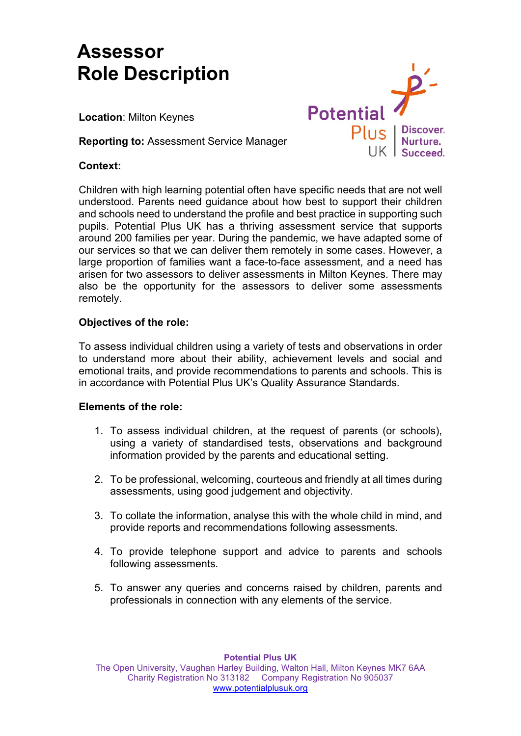# **Assessor Role Description**

**Location**: Milton Keynes

**Reporting to:** Assessment Service Manager

# **Context:**



Children with high learning potential often have specific needs that are not well understood. Parents need guidance about how best to support their children and schools need to understand the profile and best practice in supporting such pupils. Potential Plus UK has a thriving assessment service that supports around 200 families per year. During the pandemic, we have adapted some of our services so that we can deliver them remotely in some cases. However, a large proportion of families want a face-to-face assessment, and a need has arisen for two assessors to deliver assessments in Milton Keynes. There may also be the opportunity for the assessors to deliver some assessments remotely.

# **Objectives of the role:**

To assess individual children using a variety of tests and observations in order to understand more about their ability, achievement levels and social and emotional traits, and provide recommendations to parents and schools. This is in accordance with Potential Plus UK's Quality Assurance Standards.

#### **Elements of the role:**

- 1. To assess individual children, at the request of parents (or schools), using a variety of standardised tests, observations and background information provided by the parents and educational setting.
- 2. To be professional, welcoming, courteous and friendly at all times during assessments, using good judgement and objectivity.
- 3. To collate the information, analyse this with the whole child in mind, and provide reports and recommendations following assessments.
- 4. To provide telephone support and advice to parents and schools following assessments.
- 5. To answer any queries and concerns raised by children, parents and professionals in connection with any elements of the service.